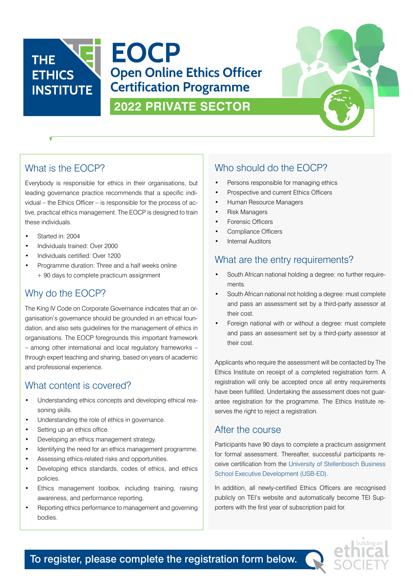



## What is the EOCP?

Everybody is responsible for ethics in their organisations, but leading governance practice recommends that a specific individual – the Ethics Officer – is responsible for the process of active, practical ethics management. The EOCP is designed to train these individuals.

- Started in: 2004
- Individuals trained: Over 2000
- Individuals certified: Over 1200
- Programme duration: Three and a half weeks online + 90 days to complete practicum assignment

## Why do the EOCP?

The King IV Code on Corporate Governance indicates that an organisation's governance should be grounded in an ethical foundation, and also sets guidelines for the management of ethics in organisations. The EOCP foregrounds this important framework – among other international and local regulatory frameworks – through expert teaching and sharing, based on years of academic and professional experience.

## What content is covered?

- Understanding ethics concepts and developing ethical reasoning skills.
- Understanding the role of ethics in governance.
- Setting up an ethics office.
- Developing an ethics management strategy.
- Identifying the need for an ethics management programme.
- Assessing ethics-related risks and opportunities.
- Developing ethics standards, codes of ethics, and ethics policies.
- Ethics management toolbox, including training, raising awareness, and performance reporting.
- Reporting ethics performance to management and governing bodies.

# Who should do the EOCP?

- Persons responsible for managing ethics
- Prospective and current Ethics Officers
- Human Resource Managers
- Risk Managers
- Forensic Officers
- Compliance Officers
- Internal Auditors

## What are the entry requirements?

- South African national holding a degree: no further requirements.
- South African national not holding a degree: must complete and pass an assessment set by a third-party assessor at their cost.
- Foreign national with or without a degree: must complete and pass an assessment set by a third-party assessor at their cost.

Applicants who require the assessment will be contacted by The Ethics Institute on receipt of a completed registration form. A registration will only be accepted once all entry requirements have been fulfilled. Undertaking the assessment does not guarantee registration for the programme. The Ethics Institute reserves the right to reject a registration.

### After the course

Participants have 90 days to complete a practicum assignment for formal assessment. Thereafter, successful participants receive certification from the University of Stellenbosch Business School Executive Development (USB-ED).

In addition, all newly-certified Ethics Officers are recognised publicly on TEI's website and automatically become TEI Supporters with the first year of subscription paid for.



To register, please complete the registration form below.